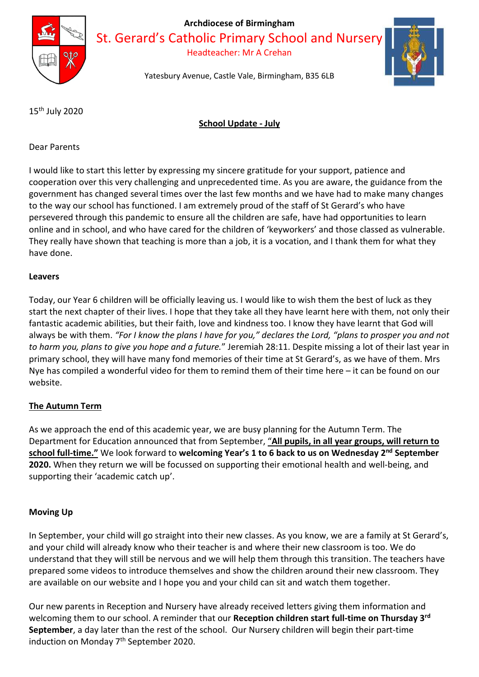

St. Gerard's Catholic Primary School and Nursery

Headteacher: Mr A Crehan



Yatesbury Avenue, Castle Vale, Birmingham, B35 6LB

15th July 2020

## School Update - July

Dear Parents

I would like to start this letter by expressing my sincere gratitude for your support, patience and cooperation over this very challenging and unprecedented time. As you are aware, the guidance from the government has changed several times over the last few months and we have had to make many changes to the way our school has functioned. I am extremely proud of the staff of St Gerard's who have persevered through this pandemic to ensure all the children are safe, have had opportunities to learn online and in school, and who have cared for the children of 'keyworkers' and those classed as vulnerable. They really have shown that teaching is more than a job, it is a vocation, and I thank them for what they have done.

#### Leavers

Today, our Year 6 children will be officially leaving us. I would like to wish them the best of luck as they start the next chapter of their lives. I hope that they take all they have learnt here with them, not only their fantastic academic abilities, but their faith, love and kindness too. I know they have learnt that God will always be with them. "For I know the plans I have for you," declares the Lord, "plans to prosper you and not to harm you, plans to give you hope and a future." Jeremiah 28:11. Despite missing a lot of their last year in primary school, they will have many fond memories of their time at St Gerard's, as we have of them. Mrs Nye has compiled a wonderful video for them to remind them of their time here – it can be found on our website.

#### The Autumn Term

As we approach the end of this academic year, we are busy planning for the Autumn Term. The Department for Education announced that from September, "All pupils, in all year groups, will return to school full-time." We look forward to welcoming Year's 1 to 6 back to us on Wednesday 2<sup>nd</sup> September 2020. When they return we will be focussed on supporting their emotional health and well-being, and supporting their 'academic catch up'.

#### Moving Up

In September, your child will go straight into their new classes. As you know, we are a family at St Gerard's, and your child will already know who their teacher is and where their new classroom is too. We do understand that they will still be nervous and we will help them through this transition. The teachers have prepared some videos to introduce themselves and show the children around their new classroom. They are available on our website and I hope you and your child can sit and watch them together.

Our new parents in Reception and Nursery have already received letters giving them information and welcoming them to our school. A reminder that our Reception children start full-time on Thursday 3<sup>rd</sup> September, a day later than the rest of the school. Our Nursery children will begin their part-time induction on Monday 7<sup>th</sup> September 2020.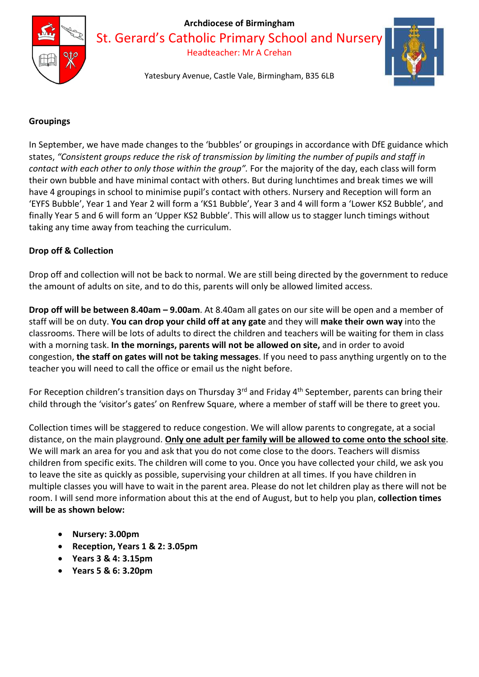

St. Gerard's Catholic Primary School and Nurser

Headteacher: Mr A Crehan

Yatesbury Avenue, Castle Vale, Birmingham, B35 6LB

## **Groupings**

In September, we have made changes to the 'bubbles' or groupings in accordance with DfE guidance which states, "Consistent groups reduce the risk of transmission by limiting the number of pupils and staff in contact with each other to only those within the group". For the majority of the day, each class will form their own bubble and have minimal contact with others. But during lunchtimes and break times we will have 4 groupings in school to minimise pupil's contact with others. Nursery and Reception will form an 'EYFS Bubble', Year 1 and Year 2 will form a 'KS1 Bubble', Year 3 and 4 will form a 'Lower KS2 Bubble', and finally Year 5 and 6 will form an 'Upper KS2 Bubble'. This will allow us to stagger lunch timings without taking any time away from teaching the curriculum.

### Drop off & Collection

Drop off and collection will not be back to normal. We are still being directed by the government to reduce the amount of adults on site, and to do this, parents will only be allowed limited access.

Drop off will be between 8.40am – 9.00am. At 8.40am all gates on our site will be open and a member of staff will be on duty. You can drop your child off at any gate and they will make their own way into the classrooms. There will be lots of adults to direct the children and teachers will be waiting for them in class with a morning task. In the mornings, parents will not be allowed on site, and in order to avoid congestion, the staff on gates will not be taking messages. If you need to pass anything urgently on to the teacher you will need to call the office or email us the night before.

For Reception children's transition days on Thursday 3<sup>rd</sup> and Friday 4<sup>th</sup> September, parents can bring their child through the 'visitor's gates' on Renfrew Square, where a member of staff will be there to greet you.

Collection times will be staggered to reduce congestion. We will allow parents to congregate, at a social distance, on the main playground. Only one adult per family will be allowed to come onto the school site. We will mark an area for you and ask that you do not come close to the doors. Teachers will dismiss children from specific exits. The children will come to you. Once you have collected your child, we ask you to leave the site as quickly as possible, supervising your children at all times. If you have children in multiple classes you will have to wait in the parent area. Please do not let children play as there will not be room. I will send more information about this at the end of August, but to help you plan, collection times will be as shown below:

- Nursery: 3.00pm
- Reception, Years 1 & 2: 3.05pm
- Years 3 & 4: 3.15pm
- Years 5 & 6: 3.20pm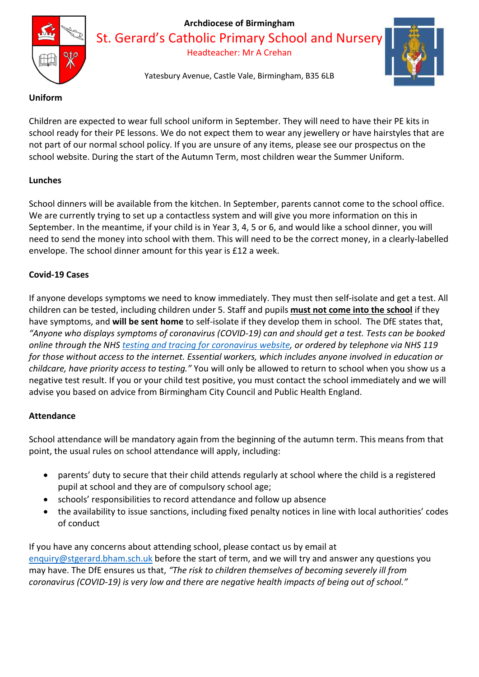

St. Gerard's Catholic Primary School and Nursery

Headteacher: Mr A Crehan

Yatesbury Avenue, Castle Vale, Birmingham, B35 6LB

### Uniform

Children are expected to wear full school uniform in September. They will need to have their PE kits in school ready for their PE lessons. We do not expect them to wear any jewellery or have hairstyles that are not part of our normal school policy. If you are unsure of any items, please see our prospectus on the school website. During the start of the Autumn Term, most children wear the Summer Uniform.

# Lunches

School dinners will be available from the kitchen. In September, parents cannot come to the school office. We are currently trying to set up a contactless system and will give you more information on this in September. In the meantime, if your child is in Year 3, 4, 5 or 6, and would like a school dinner, you will need to send the money into school with them. This will need to be the correct money, in a clearly-labelled envelope. The school dinner amount for this year is £12 a week.

# Covid-19 Cases

If anyone develops symptoms we need to know immediately. They must then self-isolate and get a test. All children can be tested, including children under 5. Staff and pupils must not come into the school if they have symptoms, and will be sent home to self-isolate if they develop them in school. The DfE states that, "Anyone who displays symptoms of coronavirus (COVID-19) can and should get a test. Tests can be booked online through the NHS testing and tracing for coronavirus website, or ordered by telephone via NHS 119 for those without access to the internet. Essential workers, which includes anyone involved in education or childcare, have priority access to testing." You will only be allowed to return to school when you show us a negative test result. If you or your child test positive, you must contact the school immediately and we will advise you based on advice from Birmingham City Council and Public Health England.

## Attendance

School attendance will be mandatory again from the beginning of the autumn term. This means from that point, the usual rules on school attendance will apply, including:

- parents' duty to secure that their child attends regularly at school where the child is a registered pupil at school and they are of compulsory school age;
- schools' responsibilities to record attendance and follow up absence
- the availability to issue sanctions, including fixed penalty notices in line with local authorities' codes of conduct

If you have any concerns about attending school, please contact us by email at enquiry@stgerard.bham.sch.uk before the start of term, and we will try and answer any questions you may have. The DfE ensures us that, "The risk to children themselves of becoming severely ill from coronavirus (COVID-19) is very low and there are negative health impacts of being out of school."